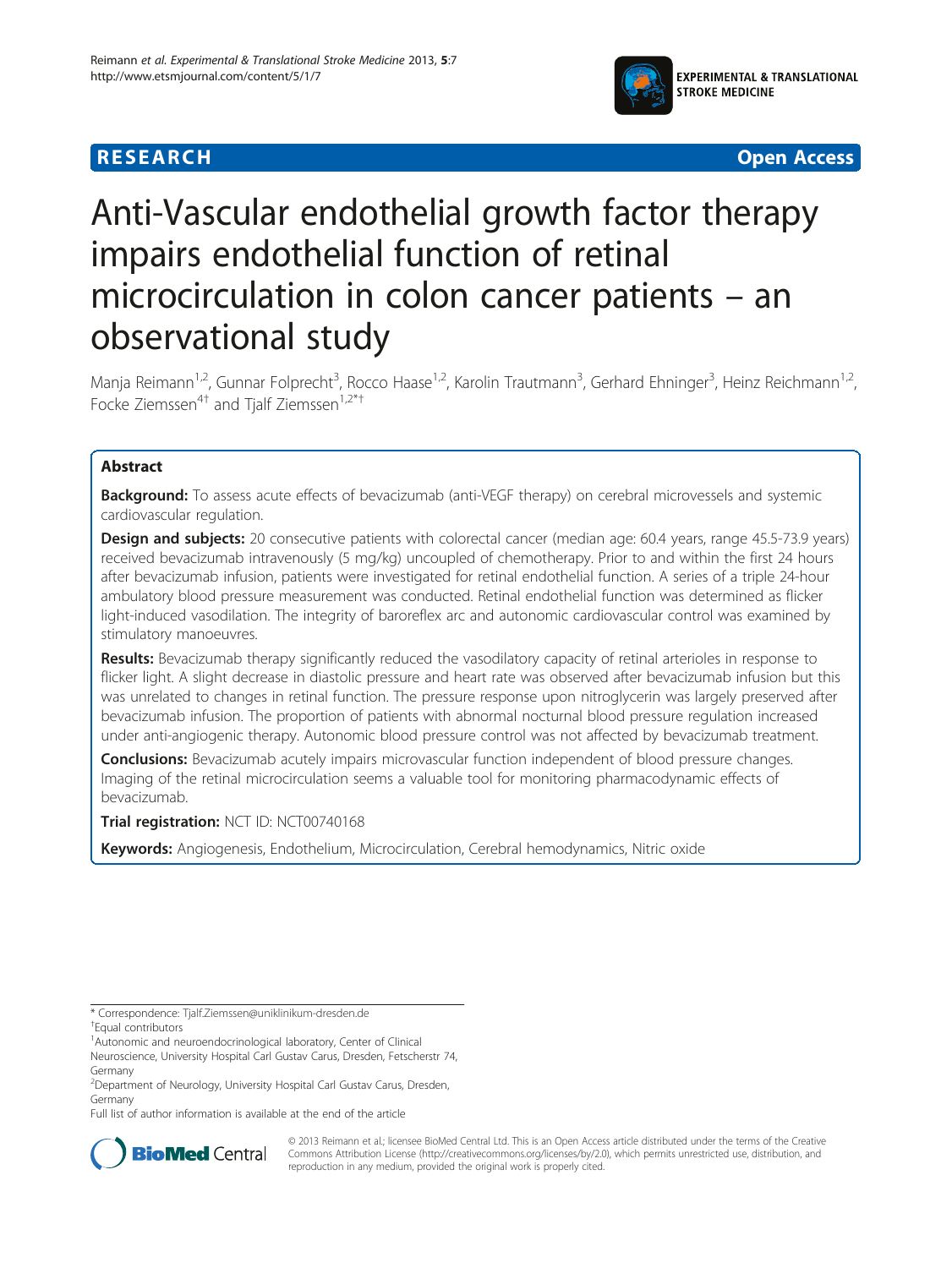



# Anti-Vascular endothelial growth factor therapy impairs endothelial function of retinal microcirculation in colon cancer patients – an observational study

Manja Reimann<sup>1,2</sup>, Gunnar Folprecht<sup>3</sup>, Rocco Haase<sup>1,2</sup>, Karolin Trautmann<sup>3</sup>, Gerhard Ehninger<sup>3</sup>, Heinz Reichmann<sup>1,2</sup>, Focke Ziemssen<sup>4†</sup> and Tjalf Ziemssen<sup>1,2\*†</sup>

# Abstract

Background: To assess acute effects of bevacizumab (anti-VEGF therapy) on cerebral microvessels and systemic cardiovascular regulation.

Design and subjects: 20 consecutive patients with colorectal cancer (median age: 60.4 years, range 45.5-73.9 years) received bevacizumab intravenously (5 mg/kg) uncoupled of chemotherapy. Prior to and within the first 24 hours after bevacizumab infusion, patients were investigated for retinal endothelial function. A series of a triple 24-hour ambulatory blood pressure measurement was conducted. Retinal endothelial function was determined as flicker light-induced vasodilation. The integrity of baroreflex arc and autonomic cardiovascular control was examined by stimulatory manoeuvres.

Results: Bevacizumab therapy significantly reduced the vasodilatory capacity of retinal arterioles in response to flicker light. A slight decrease in diastolic pressure and heart rate was observed after bevacizumab infusion but this was unrelated to changes in retinal function. The pressure response upon nitroglycerin was largely preserved after bevacizumab infusion. The proportion of patients with abnormal nocturnal blood pressure regulation increased under anti-angiogenic therapy. Autonomic blood pressure control was not affected by bevacizumab treatment.

**Conclusions:** Bevacizumab acutely impairs microvascular function independent of blood pressure changes. Imaging of the retinal microcirculation seems a valuable tool for monitoring pharmacodynamic effects of bevacizumab.

Trial registration: NCT ID: [NCT00740168](http://www.clinicaltrials.gov/NCT00740168)

Keywords: Angiogenesis, Endothelium, Microcirculation, Cerebral hemodynamics, Nitric oxide

Full list of author information is available at the end of the article



© 2013 Reimann et al.; licensee BioMed Central Ltd. This is an Open Access article distributed under the terms of the Creative Commons Attribution License [\(http://creativecommons.org/licenses/by/2.0\)](http://creativecommons.org/licenses/by/2.0), which permits unrestricted use, distribution, and reproduction in any medium, provided the original work is properly cited.

<sup>\*</sup> Correspondence: [Tjalf.Ziemssen@uniklinikum-dresden.de](mailto:Tjalf.Ziemssen@uniklinikum-dresden.de) † Equal contributors

<sup>&</sup>lt;sup>1</sup> Autonomic and neuroendocrinological laboratory, Center of Clinical

Neuroscience, University Hospital Carl Gustav Carus, Dresden, Fetscherstr 74, Germany

<sup>2</sup> Department of Neurology, University Hospital Carl Gustav Carus, Dresden, Germany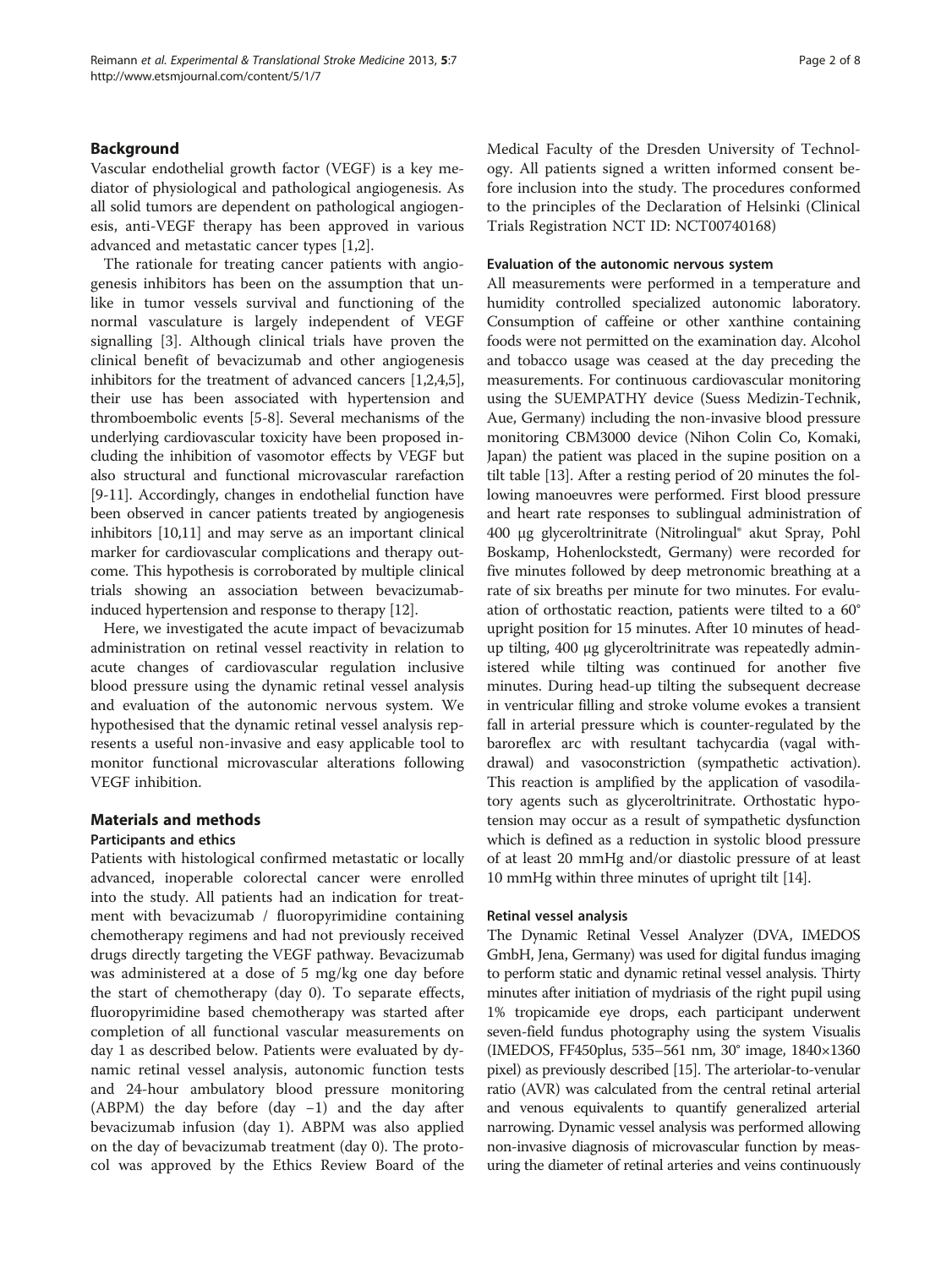# Background

Vascular endothelial growth factor (VEGF) is a key mediator of physiological and pathological angiogenesis. As all solid tumors are dependent on pathological angiogenesis, anti-VEGF therapy has been approved in various advanced and metastatic cancer types [[1,2\]](#page-6-0).

The rationale for treating cancer patients with angiogenesis inhibitors has been on the assumption that unlike in tumor vessels survival and functioning of the normal vasculature is largely independent of VEGF signalling [\[3](#page-6-0)]. Although clinical trials have proven the clinical benefit of bevacizumab and other angiogenesis inhibitors for the treatment of advanced cancers [\[1,2,4](#page-6-0),[5](#page-6-0)], their use has been associated with hypertension and thromboembolic events [\[5-8](#page-6-0)]. Several mechanisms of the underlying cardiovascular toxicity have been proposed including the inhibition of vasomotor effects by VEGF but also structural and functional microvascular rarefaction [[9-11\]](#page-6-0). Accordingly, changes in endothelial function have been observed in cancer patients treated by angiogenesis inhibitors [[10,11](#page-6-0)] and may serve as an important clinical marker for cardiovascular complications and therapy outcome. This hypothesis is corroborated by multiple clinical trials showing an association between bevacizumabinduced hypertension and response to therapy [[12](#page-6-0)].

Here, we investigated the acute impact of bevacizumab administration on retinal vessel reactivity in relation to acute changes of cardiovascular regulation inclusive blood pressure using the dynamic retinal vessel analysis and evaluation of the autonomic nervous system. We hypothesised that the dynamic retinal vessel analysis represents a useful non-invasive and easy applicable tool to monitor functional microvascular alterations following VEGF inhibition.

# Materials and methods

# Participants and ethics

Patients with histological confirmed metastatic or locally advanced, inoperable colorectal cancer were enrolled into the study. All patients had an indication for treatment with bevacizumab / fluoropyrimidine containing chemotherapy regimens and had not previously received drugs directly targeting the VEGF pathway. Bevacizumab was administered at a dose of 5 mg/kg one day before the start of chemotherapy (day 0). To separate effects, fluoropyrimidine based chemotherapy was started after completion of all functional vascular measurements on day 1 as described below. Patients were evaluated by dynamic retinal vessel analysis, autonomic function tests and 24-hour ambulatory blood pressure monitoring (ABPM) the day before (day −1) and the day after bevacizumab infusion (day 1). ABPM was also applied on the day of bevacizumab treatment (day 0). The protocol was approved by the Ethics Review Board of the Medical Faculty of the Dresden University of Technology. All patients signed a written informed consent before inclusion into the study. The procedures conformed to the principles of the Declaration of Helsinki (Clinical Trials Registration NCT ID: NCT00740168)

### Evaluation of the autonomic nervous system

All measurements were performed in a temperature and humidity controlled specialized autonomic laboratory. Consumption of caffeine or other xanthine containing foods were not permitted on the examination day. Alcohol and tobacco usage was ceased at the day preceding the measurements. For continuous cardiovascular monitoring using the SUEMPATHY device (Suess Medizin-Technik, Aue, Germany) including the non-invasive blood pressure monitoring CBM3000 device (Nihon Colin Co, Komaki, Japan) the patient was placed in the supine position on a tilt table [[13](#page-7-0)]. After a resting period of 20 minutes the following manoeuvres were performed. First blood pressure and heart rate responses to sublingual administration of 400 μg glyceroltrinitrate (Nitrolingual® akut Spray, Pohl Boskamp, Hohenlockstedt, Germany) were recorded for five minutes followed by deep metronomic breathing at a rate of six breaths per minute for two minutes. For evaluation of orthostatic reaction, patients were tilted to a 60° upright position for 15 minutes. After 10 minutes of headup tilting, 400 μg glyceroltrinitrate was repeatedly administered while tilting was continued for another five minutes. During head-up tilting the subsequent decrease in ventricular filling and stroke volume evokes a transient fall in arterial pressure which is counter-regulated by the baroreflex arc with resultant tachycardia (vagal withdrawal) and vasoconstriction (sympathetic activation). This reaction is amplified by the application of vasodilatory agents such as glyceroltrinitrate. Orthostatic hypotension may occur as a result of sympathetic dysfunction which is defined as a reduction in systolic blood pressure of at least 20 mmHg and/or diastolic pressure of at least 10 mmHg within three minutes of upright tilt [[14](#page-7-0)].

### Retinal vessel analysis

The Dynamic Retinal Vessel Analyzer (DVA, IMEDOS GmbH, Jena, Germany) was used for digital fundus imaging to perform static and dynamic retinal vessel analysis. Thirty minutes after initiation of mydriasis of the right pupil using 1% tropicamide eye drops, each participant underwent seven-field fundus photography using the system Visualis (IMEDOS, FF450plus, 535–561 nm, 30° image, 1840×1360 pixel) as previously described [\[15\]](#page-7-0). The arteriolar-to-venular ratio (AVR) was calculated from the central retinal arterial and venous equivalents to quantify generalized arterial narrowing. Dynamic vessel analysis was performed allowing non-invasive diagnosis of microvascular function by measuring the diameter of retinal arteries and veins continuously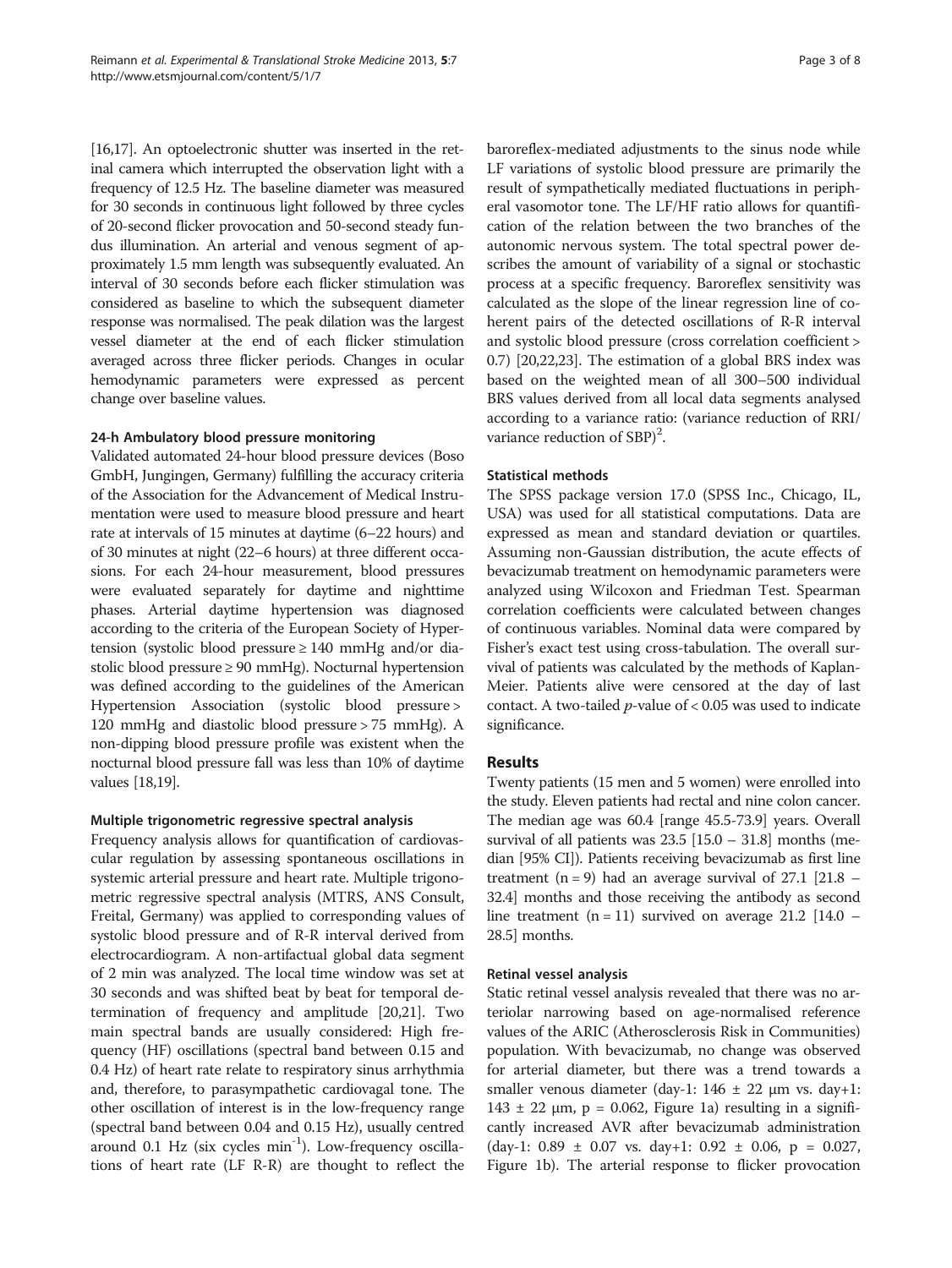[[16,17\]](#page-7-0). An optoelectronic shutter was inserted in the retinal camera which interrupted the observation light with a frequency of 12.5 Hz. The baseline diameter was measured for 30 seconds in continuous light followed by three cycles of 20-second flicker provocation and 50-second steady fundus illumination. An arterial and venous segment of approximately 1.5 mm length was subsequently evaluated. An interval of 30 seconds before each flicker stimulation was considered as baseline to which the subsequent diameter response was normalised. The peak dilation was the largest vessel diameter at the end of each flicker stimulation averaged across three flicker periods. Changes in ocular hemodynamic parameters were expressed as percent change over baseline values.

#### 24-h Ambulatory blood pressure monitoring

Validated automated 24-hour blood pressure devices (Boso GmbH, Jungingen, Germany) fulfilling the accuracy criteria of the Association for the Advancement of Medical Instrumentation were used to measure blood pressure and heart rate at intervals of 15 minutes at daytime (6–22 hours) and of 30 minutes at night (22–6 hours) at three different occasions. For each 24-hour measurement, blood pressures were evaluated separately for daytime and nighttime phases. Arterial daytime hypertension was diagnosed according to the criteria of the European Society of Hypertension (systolic blood pressure ≥ 140 mmHg and/or diastolic blood pressure ≥ 90 mmHg). Nocturnal hypertension was defined according to the guidelines of the American Hypertension Association (systolic blood pressure > 120 mmHg and diastolic blood pressure > 75 mmHg). A non-dipping blood pressure profile was existent when the nocturnal blood pressure fall was less than 10% of daytime values [\[18,19](#page-7-0)].

### Multiple trigonometric regressive spectral analysis

Frequency analysis allows for quantification of cardiovascular regulation by assessing spontaneous oscillations in systemic arterial pressure and heart rate. Multiple trigonometric regressive spectral analysis (MTRS, ANS Consult, Freital, Germany) was applied to corresponding values of systolic blood pressure and of R-R interval derived from electrocardiogram. A non-artifactual global data segment of 2 min was analyzed. The local time window was set at 30 seconds and was shifted beat by beat for temporal determination of frequency and amplitude [[20,21\]](#page-7-0). Two main spectral bands are usually considered: High frequency (HF) oscillations (spectral band between 0.15 and 0.4 Hz) of heart rate relate to respiratory sinus arrhythmia and, therefore, to parasympathetic cardiovagal tone. The other oscillation of interest is in the low-frequency range (spectral band between 0.04 and 0.15 Hz), usually centred around 0.1 Hz (six cycles  $min^{-1}$ ). Low-frequency oscillations of heart rate (LF R-R) are thought to reflect the

baroreflex-mediated adjustments to the sinus node while LF variations of systolic blood pressure are primarily the result of sympathetically mediated fluctuations in peripheral vasomotor tone. The LF/HF ratio allows for quantification of the relation between the two branches of the autonomic nervous system. The total spectral power describes the amount of variability of a signal or stochastic process at a specific frequency. Baroreflex sensitivity was calculated as the slope of the linear regression line of coherent pairs of the detected oscillations of R-R interval and systolic blood pressure (cross correlation coefficient > 0.7) [\[20,22,23\]](#page-7-0). The estimation of a global BRS index was based on the weighted mean of all 300–500 individual BRS values derived from all local data segments analysed according to a variance ratio: (variance reduction of RRI/ variance reduction of SBP)<sup>2</sup>.

## Statistical methods

The SPSS package version 17.0 (SPSS Inc., Chicago, IL, USA) was used for all statistical computations. Data are expressed as mean and standard deviation or quartiles. Assuming non-Gaussian distribution, the acute effects of bevacizumab treatment on hemodynamic parameters were analyzed using Wilcoxon and Friedman Test. Spearman correlation coefficients were calculated between changes of continuous variables. Nominal data were compared by Fisher's exact test using cross-tabulation. The overall survival of patients was calculated by the methods of Kaplan-Meier. Patients alive were censored at the day of last contact. A two-tailed  $p$ -value of < 0.05 was used to indicate significance.

# Results

Twenty patients (15 men and 5 women) were enrolled into the study. Eleven patients had rectal and nine colon cancer. The median age was 60.4 [range 45.5-73.9] years. Overall survival of all patients was  $23.5$  [15.0 – 31.8] months (median [95% CI]). Patients receiving bevacizumab as first line treatment (n = 9) had an average survival of  $27.1$  [21.8 – 32.4] months and those receiving the antibody as second line treatment  $(n = 11)$  survived on average 21.2 [14.0 – 28.5] months.

#### Retinal vessel analysis

Static retinal vessel analysis revealed that there was no arteriolar narrowing based on age-normalised reference values of the ARIC (Atherosclerosis Risk in Communities) population. With bevacizumab, no change was observed for arterial diameter, but there was a trend towards a smaller venous diameter (day-1:  $146 \pm 22$  µm vs. day+1:  $143 \pm 22$  μm, p = 0.062, Figure [1a](#page-3-0)) resulting in a significantly increased AVR after bevacizumab administration (day-1:  $0.89 \pm 0.07$  vs. day+1:  $0.92 \pm 0.06$ , p = 0.027, Figure [1b](#page-3-0)). The arterial response to flicker provocation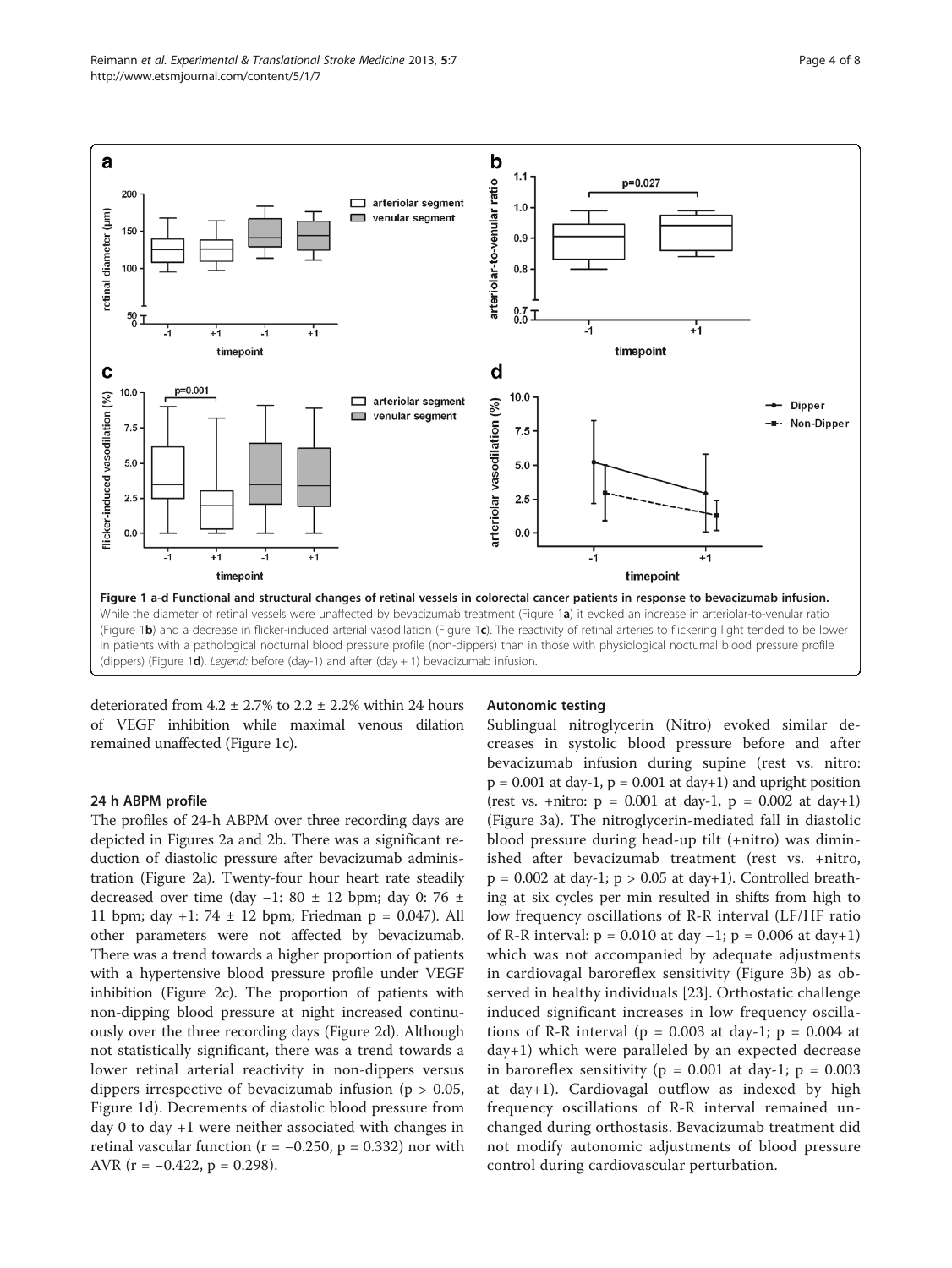<span id="page-3-0"></span>

deteriorated from  $4.2 \pm 2.7\%$  to  $2.2 \pm 2.2\%$  within 24 hours of VEGF inhibition while maximal venous dilation remained unaffected (Figure 1c).

### 24 h ABPM profile

The profiles of 24-h ABPM over three recording days are depicted in Figures [2a](#page-4-0) and [2](#page-4-0)b. There was a significant reduction of diastolic pressure after bevacizumab administration (Figure [2](#page-4-0)a). Twenty-four hour heart rate steadily decreased over time (day −1: 80 ± 12 bpm; day 0: 76 ± 11 bpm; day  $+1: 74 \pm 12$  bpm; Friedman  $p = 0.047$ ). All other parameters were not affected by bevacizumab. There was a trend towards a higher proportion of patients with a hypertensive blood pressure profile under VEGF inhibition (Figure [2](#page-4-0)c). The proportion of patients with non-dipping blood pressure at night increased continuously over the three recording days (Figure [2](#page-4-0)d). Although not statistically significant, there was a trend towards a lower retinal arterial reactivity in non-dippers versus dippers irrespective of bevacizumab infusion ( $p > 0.05$ , Figure 1d). Decrements of diastolic blood pressure from day 0 to day +1 were neither associated with changes in retinal vascular function ( $r = -0.250$ ,  $p = 0.332$ ) nor with AVR ( $r = -0.422$ ,  $p = 0.298$ ).

#### Autonomic testing

Sublingual nitroglycerin (Nitro) evoked similar decreases in systolic blood pressure before and after bevacizumab infusion during supine (rest vs. nitro:  $p = 0.001$  at day-1,  $p = 0.001$  at day+1) and upright position (rest vs. +nitro:  $p = 0.001$  at day-1,  $p = 0.002$  at day+1) (Figure [3a](#page-5-0)). The nitroglycerin-mediated fall in diastolic blood pressure during head-up tilt (+nitro) was diminished after bevacizumab treatment (rest vs. +nitro,  $p = 0.002$  at day-1;  $p > 0.05$  at day+1). Controlled breathing at six cycles per min resulted in shifts from high to low frequency oscillations of R-R interval (LF/HF ratio of R-R interval:  $p = 0.010$  at day  $-1$ ;  $p = 0.006$  at day+1) which was not accompanied by adequate adjustments in cardiovagal baroreflex sensitivity (Figure [3b](#page-5-0)) as observed in healthy individuals [\[23](#page-7-0)]. Orthostatic challenge induced significant increases in low frequency oscillations of R-R interval ( $p = 0.003$  at day-1;  $p = 0.004$  at day+1) which were paralleled by an expected decrease in baroreflex sensitivity ( $p = 0.001$  at day-1;  $p = 0.003$ at day+1). Cardiovagal outflow as indexed by high frequency oscillations of R-R interval remained unchanged during orthostasis. Bevacizumab treatment did not modify autonomic adjustments of blood pressure control during cardiovascular perturbation.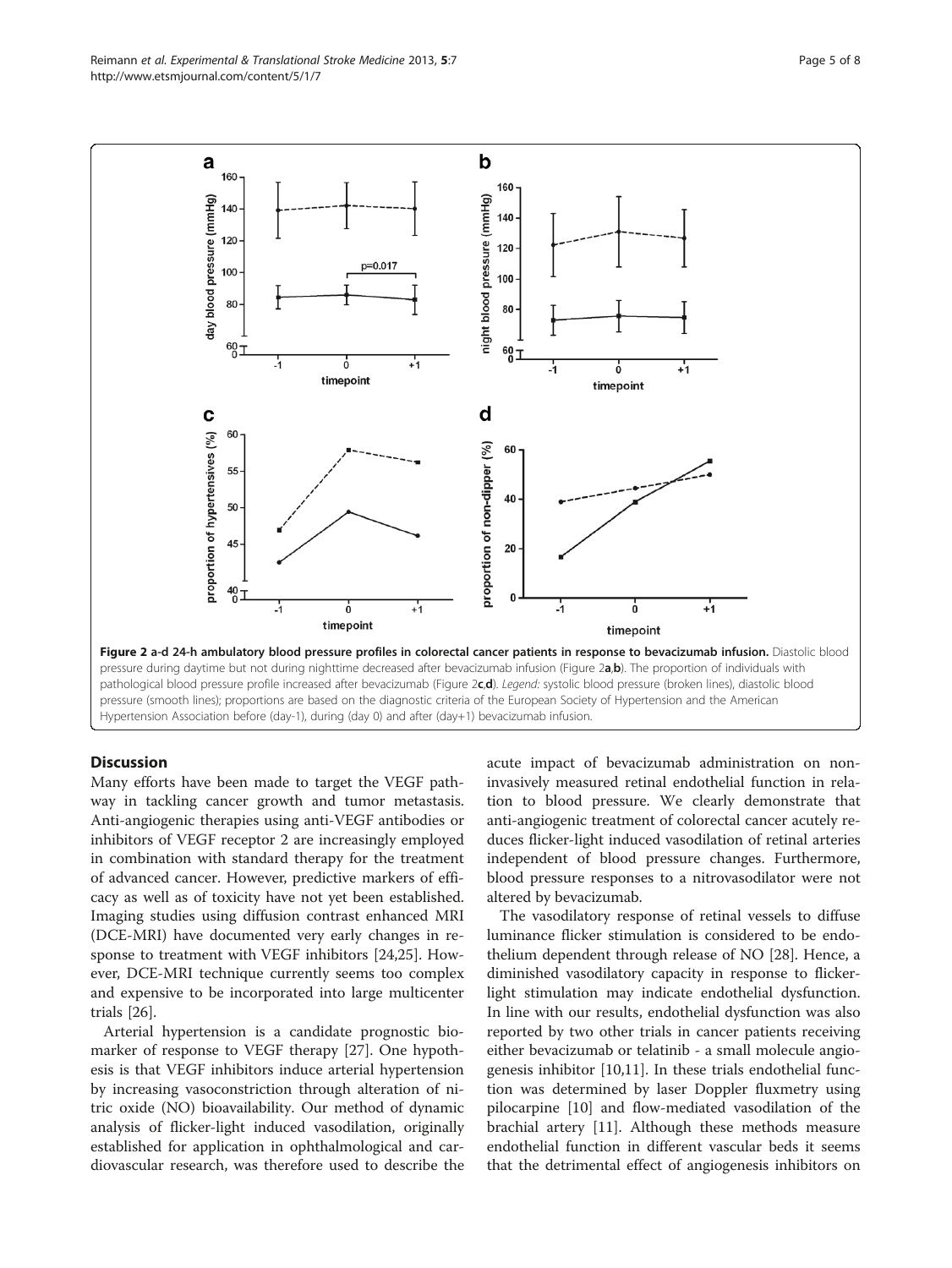<span id="page-4-0"></span>Reimann et al. Experimental & Translational Stroke Medicine 2013, 5:7 Page 5 of 8 http://www.etsmjournal.com/content/5/1/7



# **Discussion**

Many efforts have been made to target the VEGF pathway in tackling cancer growth and tumor metastasis. Anti-angiogenic therapies using anti-VEGF antibodies or inhibitors of VEGF receptor 2 are increasingly employed in combination with standard therapy for the treatment of advanced cancer. However, predictive markers of efficacy as well as of toxicity have not yet been established. Imaging studies using diffusion contrast enhanced MRI (DCE-MRI) have documented very early changes in response to treatment with VEGF inhibitors [[24,25\]](#page-7-0). However, DCE-MRI technique currently seems too complex and expensive to be incorporated into large multicenter trials [[26\]](#page-7-0).

Arterial hypertension is a candidate prognostic biomarker of response to VEGF therapy [\[27](#page-7-0)]. One hypothesis is that VEGF inhibitors induce arterial hypertension by increasing vasoconstriction through alteration of nitric oxide (NO) bioavailability. Our method of dynamic analysis of flicker-light induced vasodilation, originally established for application in ophthalmological and cardiovascular research, was therefore used to describe the acute impact of bevacizumab administration on noninvasively measured retinal endothelial function in relation to blood pressure. We clearly demonstrate that anti-angiogenic treatment of colorectal cancer acutely reduces flicker-light induced vasodilation of retinal arteries independent of blood pressure changes. Furthermore, blood pressure responses to a nitrovasodilator were not altered by bevacizumab.

The vasodilatory response of retinal vessels to diffuse luminance flicker stimulation is considered to be endothelium dependent through release of NO [\[28](#page-7-0)]. Hence, a diminished vasodilatory capacity in response to flickerlight stimulation may indicate endothelial dysfunction. In line with our results, endothelial dysfunction was also reported by two other trials in cancer patients receiving either bevacizumab or telatinib - a small molecule angiogenesis inhibitor [[10,11\]](#page-6-0). In these trials endothelial function was determined by laser Doppler fluxmetry using pilocarpine [\[10](#page-6-0)] and flow-mediated vasodilation of the brachial artery [\[11\]](#page-6-0). Although these methods measure endothelial function in different vascular beds it seems that the detrimental effect of angiogenesis inhibitors on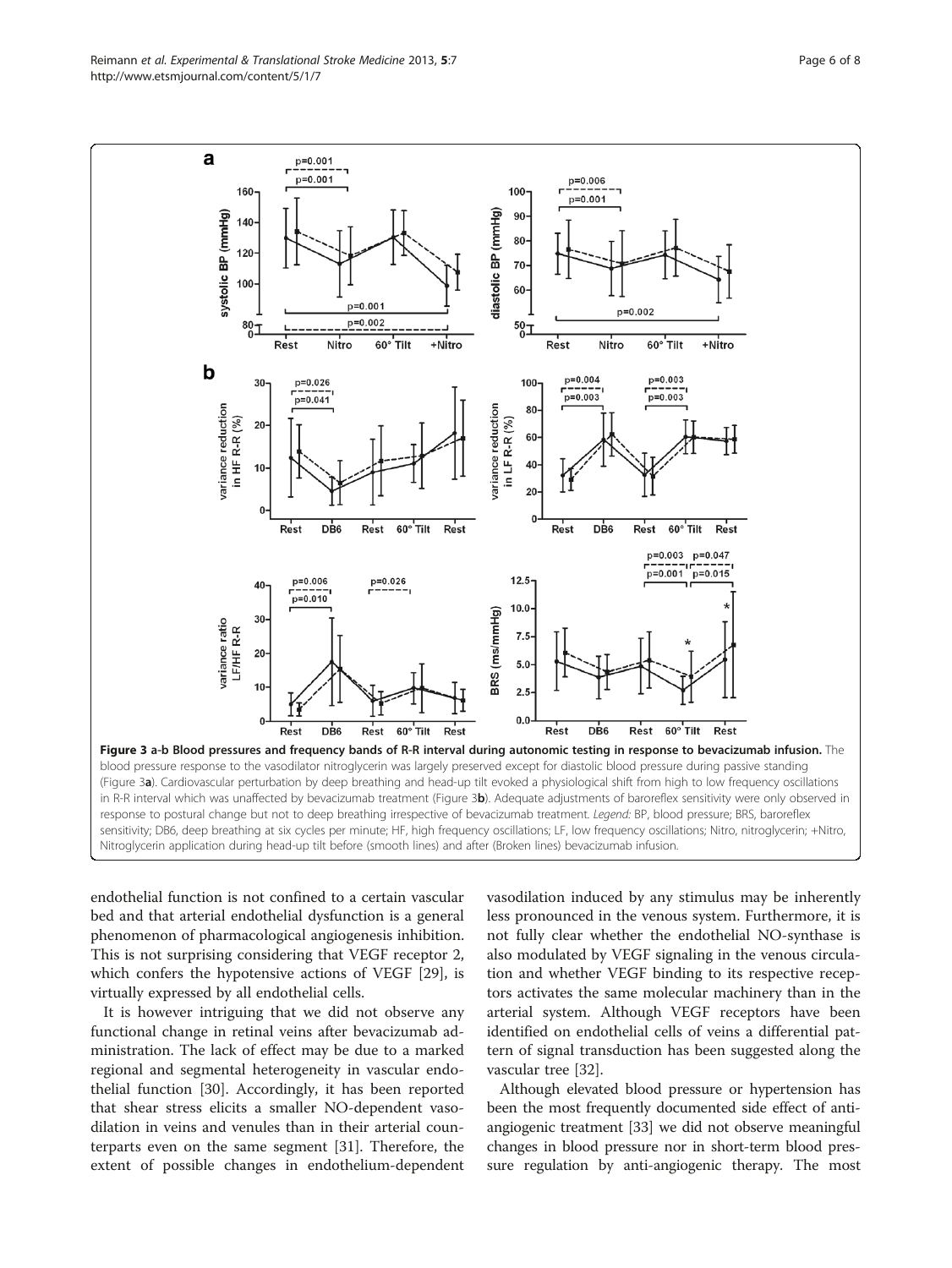<span id="page-5-0"></span>

endothelial function is not confined to a certain vascular bed and that arterial endothelial dysfunction is a general phenomenon of pharmacological angiogenesis inhibition. This is not surprising considering that VEGF receptor 2, which confers the hypotensive actions of VEGF [\[29\]](#page-7-0), is virtually expressed by all endothelial cells.

It is however intriguing that we did not observe any functional change in retinal veins after bevacizumab administration. The lack of effect may be due to a marked regional and segmental heterogeneity in vascular endothelial function [\[30\]](#page-7-0). Accordingly, it has been reported that shear stress elicits a smaller NO-dependent vasodilation in veins and venules than in their arterial counterparts even on the same segment [\[31\]](#page-7-0). Therefore, the extent of possible changes in endothelium-dependent vasodilation induced by any stimulus may be inherently less pronounced in the venous system. Furthermore, it is not fully clear whether the endothelial NO-synthase is also modulated by VEGF signaling in the venous circulation and whether VEGF binding to its respective receptors activates the same molecular machinery than in the arterial system. Although VEGF receptors have been identified on endothelial cells of veins a differential pattern of signal transduction has been suggested along the vascular tree [[32](#page-7-0)].

Although elevated blood pressure or hypertension has been the most frequently documented side effect of antiangiogenic treatment [\[33\]](#page-7-0) we did not observe meaningful changes in blood pressure nor in short-term blood pressure regulation by anti-angiogenic therapy. The most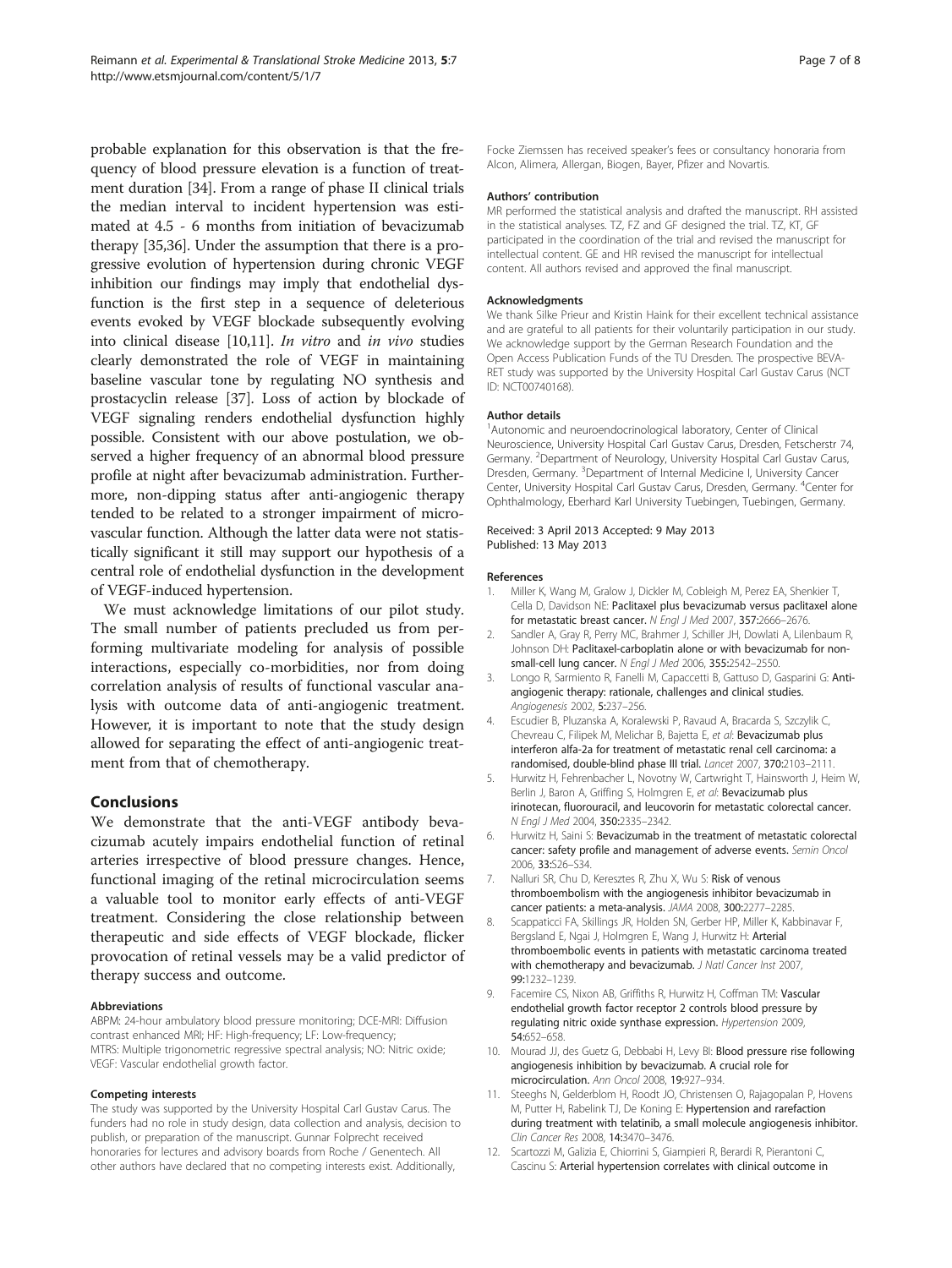<span id="page-6-0"></span>probable explanation for this observation is that the frequency of blood pressure elevation is a function of treatment duration [\[34\]](#page-7-0). From a range of phase II clinical trials the median interval to incident hypertension was estimated at 4.5 - 6 months from initiation of bevacizumab therapy [[35,36\]](#page-7-0). Under the assumption that there is a progressive evolution of hypertension during chronic VEGF inhibition our findings may imply that endothelial dysfunction is the first step in a sequence of deleterious events evoked by VEGF blockade subsequently evolving into clinical disease [10,11]. In vitro and in vivo studies clearly demonstrated the role of VEGF in maintaining baseline vascular tone by regulating NO synthesis and prostacyclin release [\[37](#page-7-0)]. Loss of action by blockade of VEGF signaling renders endothelial dysfunction highly possible. Consistent with our above postulation, we observed a higher frequency of an abnormal blood pressure profile at night after bevacizumab administration. Furthermore, non-dipping status after anti-angiogenic therapy tended to be related to a stronger impairment of microvascular function. Although the latter data were not statistically significant it still may support our hypothesis of a central role of endothelial dysfunction in the development of VEGF-induced hypertension.

We must acknowledge limitations of our pilot study. The small number of patients precluded us from performing multivariate modeling for analysis of possible interactions, especially co-morbidities, nor from doing correlation analysis of results of functional vascular analysis with outcome data of anti-angiogenic treatment. However, it is important to note that the study design allowed for separating the effect of anti-angiogenic treatment from that of chemotherapy.

# Conclusions

We demonstrate that the anti-VEGF antibody bevacizumab acutely impairs endothelial function of retinal arteries irrespective of blood pressure changes. Hence, functional imaging of the retinal microcirculation seems a valuable tool to monitor early effects of anti-VEGF treatment. Considering the close relationship between therapeutic and side effects of VEGF blockade, flicker provocation of retinal vessels may be a valid predictor of therapy success and outcome.

#### Abbreviations

ABPM: 24-hour ambulatory blood pressure monitoring; DCE-MRI: Diffusion contrast enhanced MRI; HF: High-frequency; LF: Low-frequency; MTRS: Multiple trigonometric regressive spectral analysis; NO: Nitric oxide; VEGF: Vascular endothelial growth factor.

#### Competing interests

The study was supported by the University Hospital Carl Gustav Carus. The funders had no role in study design, data collection and analysis, decision to publish, or preparation of the manuscript. Gunnar Folprecht received honoraries for lectures and advisory boards from Roche / Genentech. All other authors have declared that no competing interests exist. Additionally,

Focke Ziemssen has received speaker's fees or consultancy honoraria from Alcon, Alimera, Allergan, Biogen, Bayer, Pfizer and Novartis.

#### Authors' contribution

MR performed the statistical analysis and drafted the manuscript. RH assisted in the statistical analyses. TZ, FZ and GF designed the trial. TZ, KT, GF participated in the coordination of the trial and revised the manuscript for intellectual content. GE and HR revised the manuscript for intellectual content. All authors revised and approved the final manuscript.

#### Acknowledgments

We thank Silke Prieur and Kristin Haink for their excellent technical assistance and are grateful to all patients for their voluntarily participation in our study. We acknowledge support by the German Research Foundation and the Open Access Publication Funds of the TU Dresden. The prospective BEVA-RET study was supported by the University Hospital Carl Gustav Carus (NCT ID: NCT00740168).

#### Author details

<sup>1</sup> Autonomic and neuroendocrinological laboratory, Center of Clinical Neuroscience, University Hospital Carl Gustav Carus, Dresden, Fetscherstr 74, Germany. <sup>2</sup>Department of Neurology, University Hospital Carl Gustav Carus Dresden, Germany. <sup>3</sup>Department of Internal Medicine I, University Cancer Center, University Hospital Carl Gustav Carus, Dresden, Germany. <sup>4</sup>Center for Ophthalmology, Eberhard Karl University Tuebingen, Tuebingen, Germany.

#### Received: 3 April 2013 Accepted: 9 May 2013 Published: 13 May 2013

#### References

- Miller K, Wang M, Gralow J, Dickler M, Cobleigh M, Perez EA, Shenkier T, Cella D, Davidson NE: Paclitaxel plus bevacizumab versus paclitaxel alone for metastatic breast cancer. N Engl J Med 2007, 357:2666–2676.
- 2. Sandler A, Gray R, Perry MC, Brahmer J, Schiller JH, Dowlati A, Lilenbaum R, Johnson DH: Paclitaxel-carboplatin alone or with bevacizumab for nonsmall-cell lung cancer. N Engl J Med 2006, 355:2542–2550.
- 3. Longo R, Sarmiento R, Fanelli M, Capaccetti B, Gattuso D, Gasparini G: Antiangiogenic therapy: rationale, challenges and clinical studies. Angiogenesis 2002, 5:237–256.
- 4. Escudier B, Pluzanska A, Koralewski P, Ravaud A, Bracarda S, Szczylik C, Chevreau C, Filipek M, Melichar B, Bajetta E, et al: Bevacizumab plus interferon alfa-2a for treatment of metastatic renal cell carcinoma: a randomised, double-blind phase III trial. Lancet 2007, 370:2103–2111.
- 5. Hurwitz H, Fehrenbacher L, Novotny W, Cartwright T, Hainsworth J, Heim W, Berlin J, Baron A, Griffing S, Holmgren E, et al: Bevacizumab plus irinotecan, fluorouracil, and leucovorin for metastatic colorectal cancer. N Engl J Med 2004, 350:2335–2342.
- 6. Hurwitz H, Saini S: Bevacizumab in the treatment of metastatic colorectal cancer: safety profile and management of adverse events. Semin Oncol 2006, 33:S26–S34.
- 7. Nalluri SR, Chu D, Keresztes R, Zhu X, Wu S: Risk of venous thromboembolism with the angiogenesis inhibitor bevacizumab in cancer patients: a meta-analysis. JAMA 2008, 300:2277–2285.
- 8. Scappaticci FA, Skillings JR, Holden SN, Gerber HP, Miller K, Kabbinavar F, Bergsland E, Ngai J, Holmgren E, Wang J, Hurwitz H: Arterial thromboembolic events in patients with metastatic carcinoma treated with chemotherapy and bevacizumab. J Natl Cancer Inst 2007, 99:1232–1239.
- 9. Facemire CS, Nixon AB, Griffiths R, Hurwitz H, Coffman TM: Vascular endothelial growth factor receptor 2 controls blood pressure by regulating nitric oxide synthase expression. Hypertension 2009, 54:652–658.
- 10. Mourad JJ, des Guetz G, Debbabi H, Levy Bl: Blood pressure rise following angiogenesis inhibition by bevacizumab. A crucial role for microcirculation. Ann Oncol 2008, 19:927–934.
- 11. Steeghs N, Gelderblom H, Roodt JO, Christensen O, Rajagopalan P, Hovens M, Putter H, Rabelink TJ, De Koning E: Hypertension and rarefaction during treatment with telatinib, a small molecule angiogenesis inhibitor. Clin Cancer Res 2008, 14:3470–3476.
- 12. Scartozzi M, Galizia E, Chiorrini S, Giampieri R, Berardi R, Pierantoni C, Cascinu S: Arterial hypertension correlates with clinical outcome in